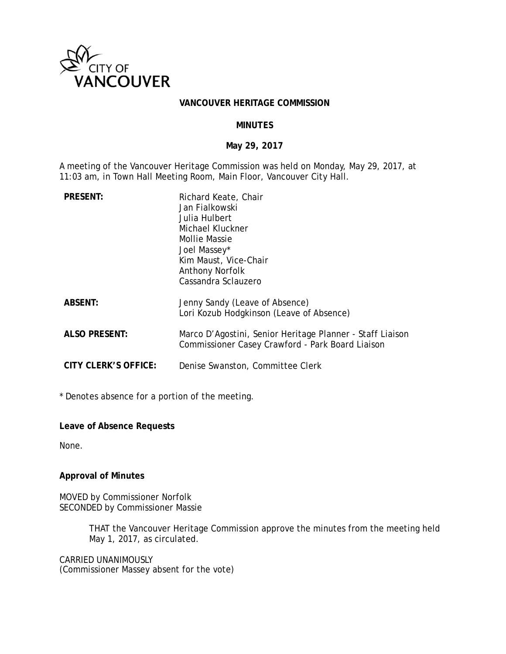

#### **VANCOUVER HERITAGE COMMISSION**

### **MINUTES**

### **May 29, 2017**

A meeting of the Vancouver Heritage Commission was held on Monday, May 29, 2017, at 11:03 am, in Town Hall Meeting Room, Main Floor, Vancouver City Hall.

| <b>PRESENT:</b>      | Richard Keate, Chair<br>Jan Fialkowski<br>Julia Hulbert<br>Michael Kluckner<br>Mollie Massie<br>Joel Massey*<br>Kim Maust, Vice-Chair<br><b>Anthony Norfolk</b><br>Cassandra Sclauzero |
|----------------------|----------------------------------------------------------------------------------------------------------------------------------------------------------------------------------------|
| <b>ABSENT:</b>       | Jenny Sandy (Leave of Absence)<br>Lori Kozub Hodgkinson (Leave of Absence)                                                                                                             |
| <b>ALSO PRESENT:</b> | Marco D'Agostini, Senior Heritage Planner - Staff Liaison<br>Commissioner Casey Crawford - Park Board Liaison                                                                          |
| CITY CLERK'S OFFICE: | Denise Swanston, Committee Clerk                                                                                                                                                       |

\* Denotes absence for a portion of the meeting.

**Leave of Absence Requests** 

None.

### **Approval of Minutes**

MOVED by Commissioner Norfolk SECONDED by Commissioner Massie

> THAT the Vancouver Heritage Commission approve the minutes from the meeting held May 1, 2017, as circulated.

CARRIED UNANIMOUSLY (Commissioner Massey absent for the vote)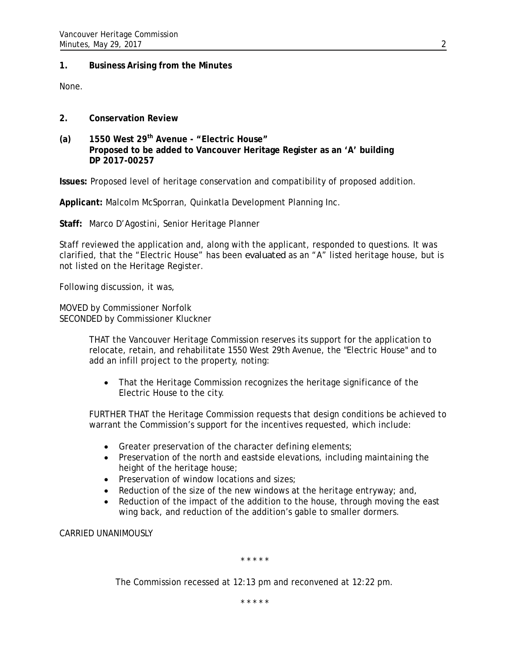### **1. Business Arising from the Minutes**

None.

- **2. Conservation Review**
- **(a) 1550 West 29th Avenue "Electric House" Proposed to be added to Vancouver Heritage Register as an 'A' building DP 2017-00257**

**Issues:** Proposed level of heritage conservation and compatibility of proposed addition.

**Applicant:** Malcolm McSporran, Quinkatla Development Planning Inc.

**Staff:** Marco D'Agostini, Senior Heritage Planner

Staff reviewed the application and, along with the applicant, responded to questions. It was clarified, that the "Electric House" has been *evaluated* as an "A" listed heritage house, but is not listed on the Heritage Register.

Following discussion, it was,

MOVED by Commissioner Norfolk SECONDED by Commissioner Kluckner

> THAT the Vancouver Heritage Commission reserves its support for the application to relocate, retain, and rehabilitate 1550 West 29th Avenue, the "Electric House" and to add an infill project to the property, noting:

• That the Heritage Commission recognizes the heritage significance of the Electric House to the city.

FURTHER THAT the Heritage Commission requests that design conditions be achieved to warrant the Commission's support for the incentives requested, which include:

- Greater preservation of the character defining elements;
- Preservation of the north and eastside elevations, including maintaining the height of the heritage house;
- Preservation of window locations and sizes;
- Reduction of the size of the new windows at the heritage entryway; and,
- Reduction of the impact of the addition to the house, through moving the east wing back, and reduction of the addition's gable to smaller dormers.

CARRIED UNANIMOUSLY

\* \* \* \* \*

The Commission recessed at 12:13 pm and reconvened at 12:22 pm.